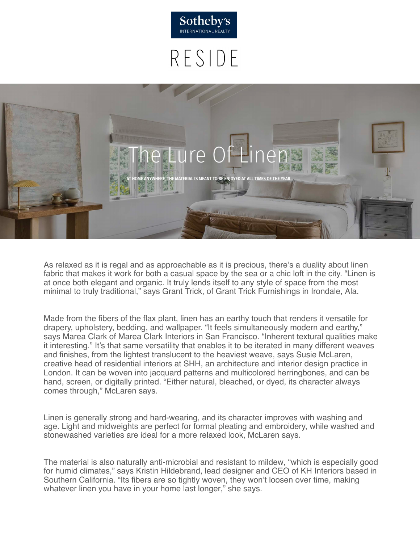

# RESIDE



As relaxed as it is regal and as approachable as it is precious, there's a duality about linen fabric that makes it work for both a casual space by the sea or a chic loft in the city. "Linen is at once both elegant and organic. It truly lends itself to any style of space from the most minimal to truly traditional," says Grant Trick, of Grant Trick Furnishings in Irondale, Ala.

Made from the fibers of the flax plant, linen has an earthy touch that renders it versatile for drapery, upholstery, bedding, and wallpaper. "It feels simultaneously modern and earthy," says Marea Clark of Marea Clark Interiors in San Francisco. "Inherent textural qualities make it interesting." It's that same versatility that enables it to be iterated in many different weaves and finishes, from the lightest translucent to the heaviest weave, says Susie McLaren, creative head of residential interiors at SHH, an architecture and interior design practice in London. It can be woven into jacquard patterns and multicolored herringbones, and can be hand, screen, or digitally printed. "Either natural, bleached, or dyed, its character always comes through," McLaren says.

Linen is generally strong and hard-wearing, and its character improves with washing and age. Light and midweights are perfect for formal pleating and embroidery, while washed and stonewashed varieties are ideal for a more relaxed look, McLaren says.

The material is also naturally anti-microbial and resistant to mildew, "which is especially good for humid climates," says Kristin Hildebrand, lead designer and CEO of KH Interiors based in Southern California. "Its fibers are so tightly woven, they won't loosen over time, making whatever linen you have in your home last longer," she says.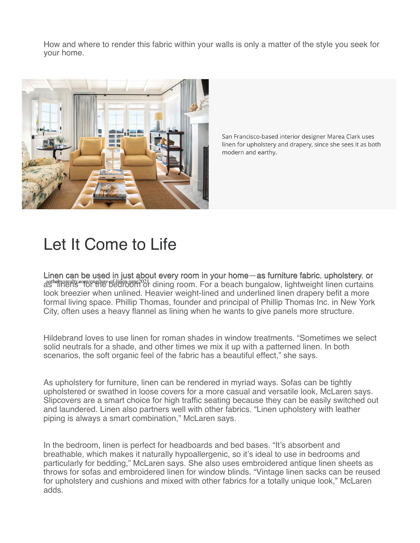How and where to render this fabric within your walls is only a matter of the style you seek for your home.



San Francisco-based interior designer Marea Clark uses linen for upholstery and drapery, since she sees it as both modern and earthy.

## Let It Come to Life

Linen can be used in just about every room in your home—as furniture fabric, upholstery, or sothebysrealty com/eng/lure-of-linen-june2021, dining room. For a beach bungalow, lightweight linen curtains look breezier when unlined. Heavier weight-lined and underlined linen drapery befit a more formal living space. Phillip Thomas, founder and principal of Phillip Thomas Inc. in New York City, often uses a heavy flannel as lining when he wants to give panels more structure.

Hildebrand loves to use linen for roman shades in window treatments. "Sometimes we select solid neutrals for a shade, and other times we mix it up with a patterned linen. In both scenarios, the soft organic feel of the fabric has a beautiful effect," she says.

As upholstery for furniture, linen can be rendered in myriad ways. Sofas can be tightly upholstered or swathed in loose covers for a more casual and versatile look, McLaren says. Slipcovers are a smart choice for high traffic seating because they can be easily switched out and laundered. Linen also partners well with other fabrics. "Linen upholstery with leather piping is always a smart combination," McLaren says.

In the bedroom, linen is perfect for headboards and bed bases. "It's absorbent and breathable, which makes it naturally hypoallergenic, so it's ideal to use in bedrooms and particularly for bedding," McLaren says. She also uses embroidered antique linen sheets as throws for sofas and embroidered linen for window blinds. "Vintage linen sacks can be reused for upholstery and cushions and mixed with other fabrics for a totally unique look," McLaren adds.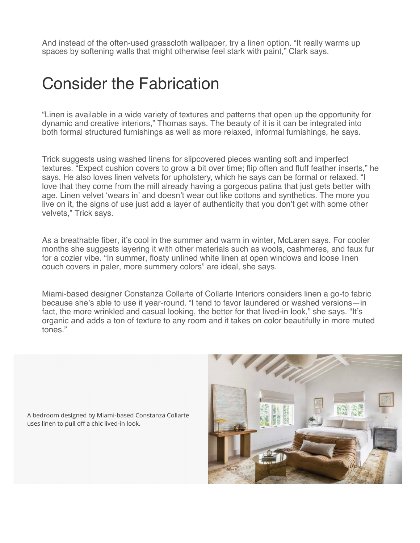And instead of the often-used grasscloth wallpaper, try a linen option. "It really warms up spaces by softening walls that might otherwise feel stark with paint," Clark says.

#### Consider the Fabrication

"Linen is available in a wide variety of textures and patterns that open up the opportunity for dynamic and creative interiors," Thomas says. The beauty of it is it can be integrated into both formal structured furnishings as well as more relaxed, informal furnishings, he says.

Trick suggests using washed linens for slipcovered pieces wanting soft and imperfect textures. "Expect cushion covers to grow a bit over time; flip often and fluff feather inserts," he says. He also loves linen velvets for upholstery, which he says can be formal or relaxed. "I love that they come from the mill already having a gorgeous patina that just gets better with age. Linen velvet 'wears in' and doesn't wear out like cottons and synthetics. The more you live on it, the signs of use just add a layer of authenticity that you don't get with some other velvets," Trick says.

As a breathable fiber, it's cool in the summer and warm in winter, McLaren says. For cooler months she suggests layering it with other materials such as wools, cashmeres, and faux fur for a cozier vibe. "In summer, floaty unlined white linen at open windows and loose linen couch covers in paler, more summery colors" are ideal, she says.

Miami-based designer Constanza Collarte of Collarte Interiors considers linen a go-to fabric because she's able to use it year-round. "I tend to favor laundered or washed versions—in fact, the more wrinkled and casual looking, the better for that lived-in look," she says. "It's organic and adds a ton of texture to any room and it takes on color beautifully in more muted tones."

A bedroom designed by Miami-based Constanza Collarte uses linen to pull off a chic lived-in look.